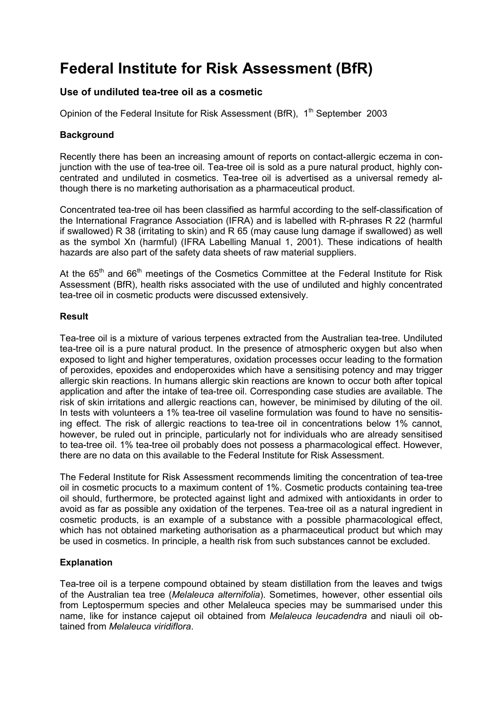# **Federal Institute for Risk Assessment (BfR)**

# **Use of undiluted tea-tree oil as a cosmetic**

Opinion of the Federal Insitute for Risk Assessment (BfR), 1<sup>th</sup> September 2003

## **Background**

Recently there has been an increasing amount of reports on contact-allergic eczema in conjunction with the use of tea-tree oil. Tea-tree oil is sold as a pure natural product, highly concentrated and undiluted in cosmetics. Tea-tree oil is advertised as a universal remedy although there is no marketing authorisation as a pharmaceutical product.

Concentrated tea-tree oil has been classified as harmful according to the self-classification of the International Fragrance Association (IFRA) and is labelled with R-phrases R 22 (harmful if swallowed) R 38 (irritating to skin) and R 65 (may cause lung damage if swallowed) as well as the symbol Xn (harmful) (IFRA Labelling Manual 1, 2001). These indications of health hazards are also part of the safety data sheets of raw material suppliers.

At the  $65<sup>th</sup>$  and  $66<sup>th</sup>$  meetings of the Cosmetics Committee at the Federal Institute for Risk Assessment (BfR), health risks associated with the use of undiluted and highly concentrated tea-tree oil in cosmetic products were discussed extensively.

### **Result**

Tea-tree oil is a mixture of various terpenes extracted from the Australian tea-tree. Undiluted tea-tree oil is a pure natural product. In the presence of atmospheric oxygen but also when exposed to light and higher temperatures, oxidation processes occur leading to the formation of peroxides, epoxides and endoperoxides which have a sensitising potency and may trigger allergic skin reactions. In humans allergic skin reactions are known to occur both after topical application and after the intake of tea-tree oil. Corresponding case studies are available. The risk of skin irritations and allergic reactions can, however, be minimised by diluting of the oil. In tests with volunteers a 1% tea-tree oil vaseline formulation was found to have no sensitising effect. The risk of allergic reactions to tea-tree oil in concentrations below 1% cannot, however, be ruled out in principle, particularly not for individuals who are already sensitised to tea-tree oil. 1% tea-tree oil probably does not possess a pharmacological effect. However, there are no data on this available to the Federal Institute for Risk Assessment.

The Federal Institute for Risk Assessment recommends limiting the concentration of tea-tree oil in cosmetic procucts to a maximum content of 1%. Cosmetic products containing tea-tree oil should, furthermore, be protected against light and admixed with antioxidants in order to avoid as far as possible any oxidation of the terpenes. Tea-tree oil as a natural ingredient in cosmetic products, is an example of a substance with a possible pharmacological effect, which has not obtained marketing authorisation as a pharmaceutical product but which may be used in cosmetics. In principle, a health risk from such substances cannot be excluded.

# **Explanation**

Tea-tree oil is a terpene compound obtained by steam distillation from the leaves and twigs of the Australian tea tree (*Melaleuca alternifolia*). Sometimes, however, other essential oils from Leptospermum species and other Melaleuca species may be summarised under this name, like for instance cajeput oil obtained from *Melaleuca leucadendra* and niauli oil obtained from *Melaleuca viridiflora*.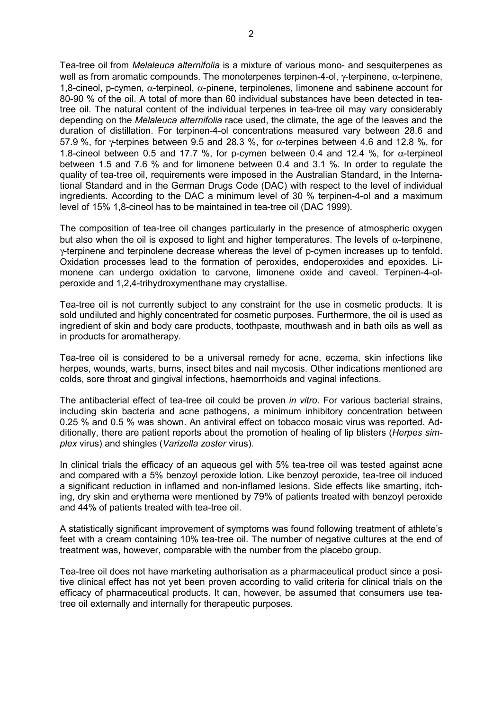Tea-tree oil from *Melaleuca alternifolia* is a mixture of various mono- and sesquiterpenes as well as from aromatic compounds. The monoterpenes terpinen-4-ol, γ-terpinene,  $α$ -terpinene, 1,8-cineol, p-cymen, α-terpineol, α-pinene, terpinolenes, limonene and sabinene account for 80-90 % of the oil. A total of more than 60 individual substances have been detected in teatree oil. The natural content of the individual terpenes in tea-tree oil may vary considerably depending on the *Melaleuca alternifolia* race used, the climate, the age of the leaves and the duration of distillation. For terpinen-4-ol concentrations measured vary between 28.6 and 57.9 %, for  $\gamma$ -terpines between 9.5 and 28.3 %, for  $\alpha$ -terpines between 4.6 and 12.8 %, for 1.8-cineol between 0.5 and 17.7 %, for p-cymen between 0.4 and 12.4 %, for  $\alpha$ -terpineol between 1.5 and 7.6 % and for limonene between 0.4 and 3.1 %. In order to regulate the quality of tea-tree oil, requirements were imposed in the Australian Standard, in the International Standard and in the German Drugs Code (DAC) with respect to the level of individual ingredients. According to the DAC a minimum level of 30 % terpinen-4-ol and a maximum level of 15% 1,8-cineol has to be maintained in tea-tree oil (DAC 1999).

The composition of tea-tree oil changes particularly in the presence of atmospheric oxygen but also when the oil is exposed to light and higher temperatures. The levels of  $\alpha$ -terpinene, γ-terpinene and terpinolene decrease whereas the level of p-cymen increases up to tenfold. Oxidation processes lead to the formation of peroxides, endoperoxides and epoxides. Limonene can undergo oxidation to carvone, limonene oxide and caveol. Terpinen-4-olperoxide and 1,2,4-trihydroxymenthane may crystallise.

Tea-tree oil is not currently subject to any constraint for the use in cosmetic products. It is sold undiluted and highly concentrated for cosmetic purposes. Furthermore, the oil is used as ingredient of skin and body care products, toothpaste, mouthwash and in bath oils as well as in products for aromatherapy.

Tea-tree oil is considered to be a universal remedy for acne, eczema, skin infections like herpes, wounds, warts, burns, insect bites and nail mycosis. Other indications mentioned are colds, sore throat and gingival infections, haemorrhoids and vaginal infections.

The antibacterial effect of tea-tree oil could be proven *in vitro*. For various bacterial strains, including skin bacteria and acne pathogens, a minimum inhibitory concentration between 0.25 % and 0.5 % was shown. An antiviral effect on tobacco mosaic virus was reported. Additionally, there are patient reports about the promotion of healing of lip blisters (*Herpes simplex* virus) and shingles (*Varizella zoster* virus).

In clinical trials the efficacy of an aqueous gel with 5% tea-tree oil was tested against acne and compared with a 5% benzoyl peroxide lotion. Like benzoyl peroxide, tea-tree oil induced a significant reduction in inflamed and non-inflamed lesions. Side effects like smarting, itching, dry skin and erythema were mentioned by 79% of patients treated with benzoyl peroxide and 44% of patients treated with tea-tree oil.

A statistically significant improvement of symptoms was found following treatment of athlete's feet with a cream containing 10% tea-tree oil. The number of negative cultures at the end of treatment was, however, comparable with the number from the placebo group.

Tea-tree oil does not have marketing authorisation as a pharmaceutical product since a positive clinical effect has not yet been proven according to valid criteria for clinical trials on the efficacy of pharmaceutical products. It can, however, be assumed that consumers use teatree oil externally and internally for therapeutic purposes.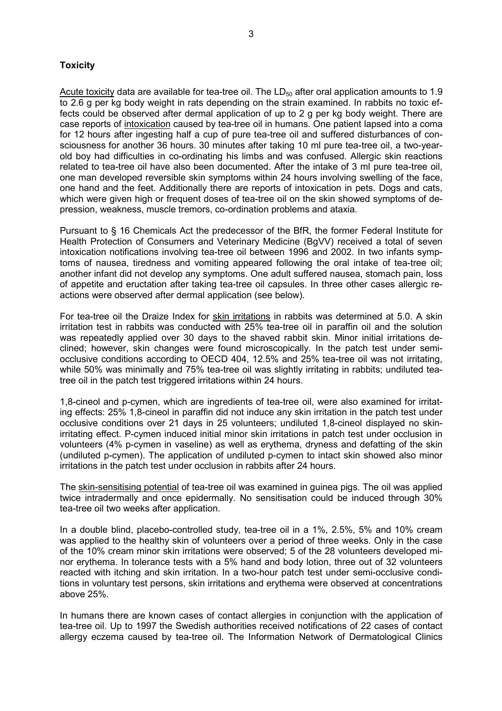## **Toxicity**

Acute toxicity data are available for tea-tree oil. The  $LD_{50}$  after oral application amounts to 1.9 to 2.6 g per kg body weight in rats depending on the strain examined. In rabbits no toxic effects could be observed after dermal application of up to 2 g per kg body weight. There are case reports of intoxication caused by tea-tree oil in humans. One patient lapsed into a coma for 12 hours after ingesting half a cup of pure tea-tree oil and suffered disturbances of consciousness for another 36 hours. 30 minutes after taking 10 ml pure tea-tree oil, a two-yearold boy had difficulties in co-ordinating his limbs and was confused. Allergic skin reactions related to tea-tree oil have also been documented. After the intake of 3 ml pure tea-tree oil, one man developed reversible skin symptoms within 24 hours involving swelling of the face, one hand and the feet. Additionally there are reports of intoxication in pets. Dogs and cats, which were given high or frequent doses of tea-tree oil on the skin showed symptoms of depression, weakness, muscle tremors, co-ordination problems and ataxia.

Pursuant to § 16 Chemicals Act the predecessor of the BfR, the former Federal Institute for Health Protection of Consumers and Veterinary Medicine (BgVV) received a total of seven intoxication notifications involving tea-tree oil between 1996 and 2002. In two infants symptoms of nausea, tiredness and vomiting appeared following the oral intake of tea-tree oil; another infant did not develop any symptoms. One adult suffered nausea, stomach pain, loss of appetite and eructation after taking tea-tree oil capsules. In three other cases allergic reactions were observed after dermal application (see below).

For tea-tree oil the Draize Index for skin irritations in rabbits was determined at 5.0. A skin irritation test in rabbits was conducted with 25% tea-tree oil in paraffin oil and the solution was repeatedly applied over 30 days to the shaved rabbit skin. Minor initial irritations declined; however, skin changes were found microscopically. In the patch test under semiocclusive conditions according to OECD 404, 12.5% and 25% tea-tree oil was not irritating, while 50% was minimally and 75% tea-tree oil was slightly irritating in rabbits; undiluted teatree oil in the patch test triggered irritations within 24 hours.

1,8-cineol and p-cymen, which are ingredients of tea-tree oil, were also examined for irritating effects: 25% 1,8-cineol in paraffin did not induce any skin irritation in the patch test under occlusive conditions over 21 days in 25 volunteers; undiluted 1,8-cineol displayed no skinirritating effect. P-cymen induced initial minor skin irritations in patch test under occlusion in volunteers (4% p-cymen in vaseline) as well as erythema, dryness and defatting of the skin (undiluted p-cymen). The application of undiluted p-cymen to intact skin showed also minor irritations in the patch test under occlusion in rabbits after 24 hours.

The skin-sensitising potential of tea-tree oil was examined in guinea pigs. The oil was applied twice intradermally and once epidermally. No sensitisation could be induced through 30% tea-tree oil two weeks after application.

In a double blind, placebo-controlled study, tea-tree oil in a 1%, 2.5%, 5% and 10% cream was applied to the healthy skin of volunteers over a period of three weeks. Only in the case of the 10% cream minor skin irritations were observed; 5 of the 28 volunteers developed minor erythema. In tolerance tests with a 5% hand and body lotion, three out of 32 volunteers reacted with itching and skin irritation. In a two-hour patch test under semi-occlusive conditions in voluntary test persons, skin irritations and erythema were observed at concentrations above 25%.

In humans there are known cases of contact allergies in conjunction with the application of tea-tree oil. Up to 1997 the Swedish authorities received notifications of 22 cases of contact allergy eczema caused by tea-tree oil. The Information Network of Dermatological Clinics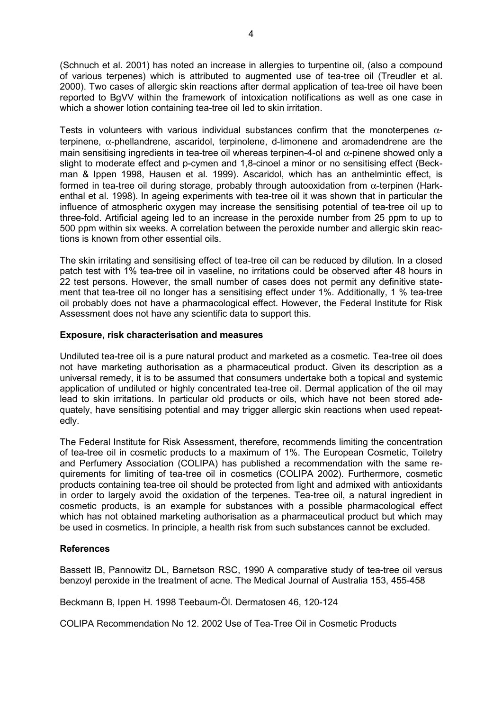(Schnuch et al. 2001) has noted an increase in allergies to turpentine oil, (also a compound of various terpenes) which is attributed to augmented use of tea-tree oil (Treudler et al. 2000). Two cases of allergic skin reactions after dermal application of tea-tree oil have been reported to BgVV within the framework of intoxication notifications as well as one case in which a shower lotion containing tea-tree oil led to skin irritation.

Tests in volunteers with various individual substances confirm that the monoterpenes  $\alpha$ terpinene,  $\alpha$ -phellandrene, ascaridol, terpinolene, d-limonene and aromadendrene are the main sensitising ingredients in tea-tree oil whereas terpinen-4-ol and  $\alpha$ -pinene showed only a slight to moderate effect and p-cymen and 1,8-cinoel a minor or no sensitising effect (Beckman & Ippen 1998, Hausen et al. 1999). Ascaridol, which has an anthelmintic effect, is formed in tea-tree oil during storage, probably through autooxidation from α-terpinen (Harkenthal et al. 1998). In ageing experiments with tea-tree oil it was shown that in particular the influence of atmospheric oxygen may increase the sensitising potential of tea-tree oil up to three-fold. Artificial ageing led to an increase in the peroxide number from 25 ppm to up to 500 ppm within six weeks. A correlation between the peroxide number and allergic skin reactions is known from other essential oils.

The skin irritating and sensitising effect of tea-tree oil can be reduced by dilution. In a closed patch test with 1% tea-tree oil in vaseline, no irritations could be observed after 48 hours in 22 test persons. However, the small number of cases does not permit any definitive statement that tea-tree oil no longer has a sensitising effect under 1%. Additionally, 1 % tea-tree oil probably does not have a pharmacological effect. However, the Federal Institute for Risk Assessment does not have any scientific data to support this.

#### **Exposure, risk characterisation and measures**

Undiluted tea-tree oil is a pure natural product and marketed as a cosmetic. Tea-tree oil does not have marketing authorisation as a pharmaceutical product. Given its description as a universal remedy, it is to be assumed that consumers undertake both a topical and systemic application of undiluted or highly concentrated tea-tree oil. Dermal application of the oil may lead to skin irritations. In particular old products or oils, which have not been stored adequately, have sensitising potential and may trigger allergic skin reactions when used repeatedly.

The Federal Institute for Risk Assessment, therefore, recommends limiting the concentration of tea-tree oil in cosmetic products to a maximum of 1%. The European Cosmetic, Toiletry and Perfumery Association (COLIPA) has published a recommendation with the same requirements for limiting of tea-tree oil in cosmetics (COLIPA 2002). Furthermore, cosmetic products containing tea-tree oil should be protected from light and admixed with antioxidants in order to largely avoid the oxidation of the terpenes. Tea-tree oil, a natural ingredient in cosmetic products, is an example for substances with a possible pharmacological effect which has not obtained marketing authorisation as a pharmaceutical product but which may be used in cosmetics. In principle, a health risk from such substances cannot be excluded.

#### **References**

Bassett IB, Pannowitz DL, Barnetson RSC, 1990 A comparative study of tea-tree oil versus benzoyl peroxide in the treatment of acne. The Medical Journal of Australia 153, 455-458

Beckmann B, Ippen H. 1998 Teebaum-Öl. Dermatosen 46, 120-124

COLIPA Recommendation No 12. 2002 Use of Tea-Tree Oil in Cosmetic Products